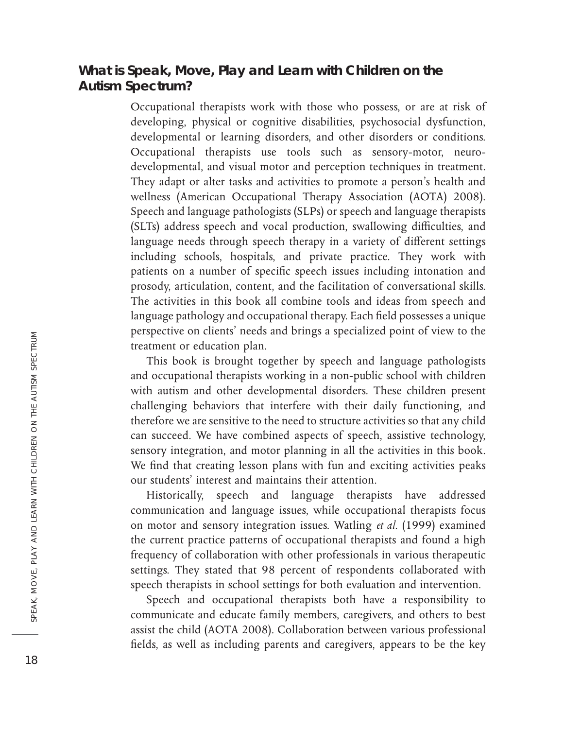# **What is** *Speak, Move, Play and Learn with Children on the Autism Spectrum***?**

Occupational therapists work with those who possess, or are at risk of developing, physical or cognitive disabilities, psychosocial dysfunction, developmental or learning disorders, and other disorders or conditions. Occupational therapists use tools such as sensory-motor, neurodevelopmental, and visual motor and perception techniques in treatment. They adapt or alter tasks and activities to promote a person's health and wellness (American Occupational Therapy Association (AOTA) 2008). Speech and language pathologists (SLPs) or speech and language therapists (SLTs) address speech and vocal production, swallowing difficulties, and language needs through speech therapy in a variety of different settings including schools, hospitals, and private practice. They work with patients on a number of specific speech issues including intonation and prosody, articulation, content, and the facilitation of conversational skills. The activities in this book all combine tools and ideas from speech and language pathology and occupational therapy. Each field possesses a unique perspective on clients' needs and brings a specialized point of view to the treatment or education plan.

This book is brought together by speech and language pathologists and occupational therapists working in a non-public school with children with autism and other developmental disorders. These children present challenging behaviors that interfere with their daily functioning, and therefore we are sensitive to the need to structure activities so that any child can succeed. We have combined aspects of speech, assistive technology, sensory integration, and motor planning in all the activities in this book. We find that creating lesson plans with fun and exciting activities peaks our students' interest and maintains their attention.

Historically, speech and language therapists have addressed communication and language issues, while occupational therapists focus on motor and sensory integration issues. Watling *et al*. (1999) examined the current practice patterns of occupational therapists and found a high frequency of collaboration with other professionals in various therapeutic settings. They stated that 98 percent of respondents collaborated with speech therapists in school settings for both evaluation and intervention.

Speech and occupational therapists both have a responsibility to communicate and educate family members, caregivers, and others to best assist the child (AOTA 2008). Collaboration between various professional fields, as well as including parents and caregivers, appears to be the key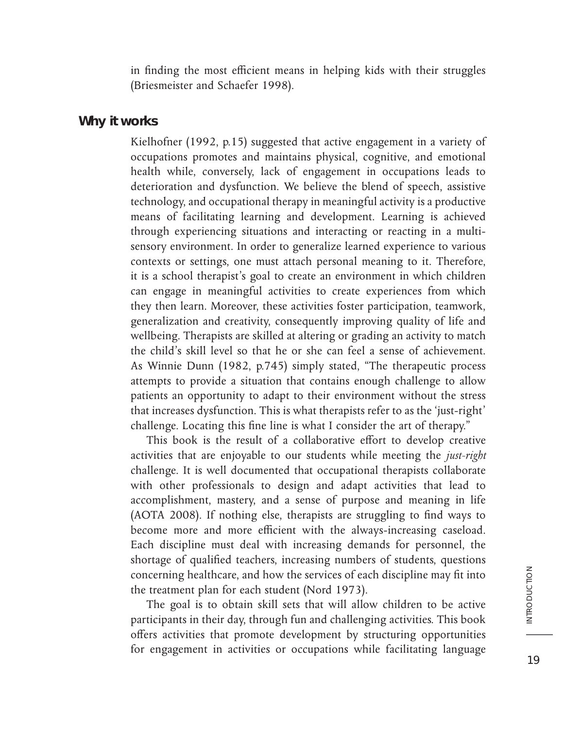in finding the most efficient means in helping kids with their struggles (Briesmeister and Schaefer 1998).

# **Why it works**

Kielhofner (1992, p.15) suggested that active engagement in a variety of occupations promotes and maintains physical, cognitive, and emotional health while, conversely, lack of engagement in occupations leads to deterioration and dysfunction. We believe the blend of speech, assistive technology, and occupational therapy in meaningful activity is a productive means of facilitating learning and development. Learning is achieved through experiencing situations and interacting or reacting in a multisensory environment. In order to generalize learned experience to various contexts or settings, one must attach personal meaning to it. Therefore, it is a school therapist's goal to create an environment in which children can engage in meaningful activities to create experiences from which they then learn. Moreover, these activities foster participation, teamwork, generalization and creativity, consequently improving quality of life and wellbeing. Therapists are skilled at altering or grading an activity to match the child's skill level so that he or she can feel a sense of achievement. As Winnie Dunn (1982, p.745) simply stated, "The therapeutic process attempts to provide a situation that contains enough challenge to allow patients an opportunity to adapt to their environment without the stress that increases dysfunction. This is what therapists refer to as the 'just-right' challenge. Locating this fine line is what I consider the art of therapy."

This book is the result of a collaborative effort to develop creative activities that are enjoyable to our students while meeting the *just-right* challenge. It is well documented that occupational therapists collaborate with other professionals to design and adapt activities that lead to accomplishment, mastery, and a sense of purpose and meaning in life (AOTA 2008). If nothing else, therapists are struggling to find ways to become more and more efficient with the always-increasing caseload. Each discipline must deal with increasing demands for personnel, the shortage of qualified teachers, increasing numbers of students, questions concerning healthcare, and how the services of each discipline may fit into the treatment plan for each student (Nord 1973).

The goal is to obtain skill sets that will allow children to be active participants in their day, through fun and challenging activities. This book offers activities that promote development by structuring opportunities for engagement in activities or occupations while facilitating language

19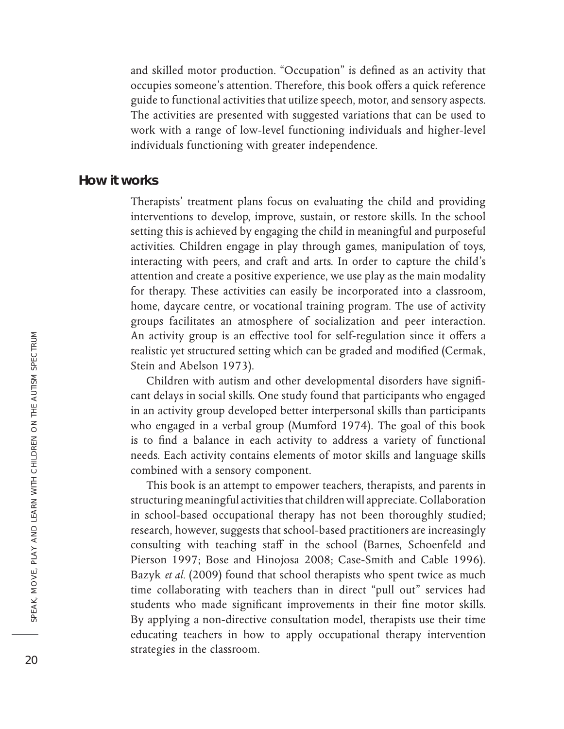and skilled motor production. "Occupation" is defined as an activity that occupies someone's attention. Therefore, this book offers a quick reference guide to functional activities that utilize speech, motor, and sensory aspects. The activities are presented with suggested variations that can be used to work with a range of low-level functioning individuals and higher-level individuals functioning with greater independence.

### **How it works**

Therapists' treatment plans focus on evaluating the child and providing interventions to develop, improve, sustain, or restore skills. In the school setting this is achieved by engaging the child in meaningful and purposeful activities. Children engage in play through games, manipulation of toys, interacting with peers, and craft and arts. In order to capture the child's attention and create a positive experience, we use play as the main modality for therapy. These activities can easily be incorporated into a classroom, home, daycare centre, or vocational training program. The use of activity groups facilitates an atmosphere of socialization and peer interaction. An activity group is an effective tool for self-regulation since it offers a realistic yet structured setting which can be graded and modified (Cermak, Stein and Abelson 1973).

Children with autism and other developmental disorders have significant delays in social skills. One study found that participants who engaged in an activity group developed better interpersonal skills than participants who engaged in a verbal group (Mumford 1974). The goal of this book is to find a balance in each activity to address a variety of functional needs. Each activity contains elements of motor skills and language skills combined with a sensory component.

This book is an attempt to empower teachers, therapists, and parents in structuring meaningful activities that children will appreciate. Collaboration in school-based occupational therapy has not been thoroughly studied; research, however, suggests that school-based practitioners are increasingly consulting with teaching staff in the school (Barnes, Schoenfeld and Pierson 1997; Bose and Hinojosa 2008; Case-Smith and Cable 1996). Bazyk *et al.* (2009) found that school therapists who spent twice as much time collaborating with teachers than in direct "pull out" services had students who made significant improvements in their fine motor skills. By applying a non-directive consultation model, therapists use their time educating teachers in how to apply occupational therapy intervention strategies in the classroom.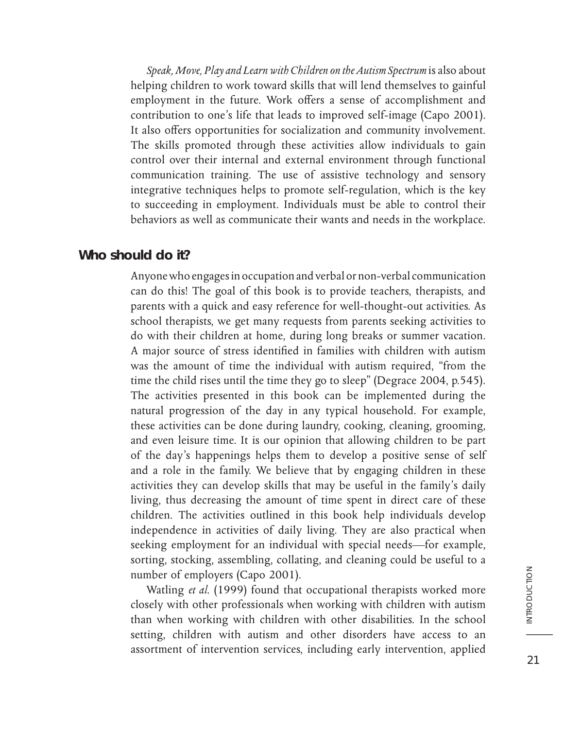*Speak, Move, Play and Learn with Children on the Autism Spectrum* is also about helping children to work toward skills that will lend themselves to gainful employment in the future. Work offers a sense of accomplishment and contribution to one's life that leads to improved self-image (Capo 2001). It also offers opportunities for socialization and community involvement. The skills promoted through these activities allow individuals to gain control over their internal and external environment through functional communication training. The use of assistive technology and sensory integrative techniques helps to promote self-regulation, which is the key to succeeding in employment. Individuals must be able to control their behaviors as well as communicate their wants and needs in the workplace.

#### **Who should do it?**

Anyone who engages in occupation and verbal or non-verbal communication can do this! The goal of this book is to provide teachers, therapists, and parents with a quick and easy reference for well-thought-out activities. As school therapists, we get many requests from parents seeking activities to do with their children at home, during long breaks or summer vacation. A major source of stress identified in families with children with autism was the amount of time the individual with autism required, "from the time the child rises until the time they go to sleep" (Degrace 2004, p.545). The activities presented in this book can be implemented during the natural progression of the day in any typical household. For example, these activities can be done during laundry, cooking, cleaning, grooming, and even leisure time. It is our opinion that allowing children to be part of the day's happenings helps them to develop a positive sense of self and a role in the family. We believe that by engaging children in these activities they can develop skills that may be useful in the family's daily living, thus decreasing the amount of time spent in direct care of these children. The activities outlined in this book help individuals develop independence in activities of daily living. They are also practical when seeking employment for an individual with special needs—for example, sorting, stocking, assembling, collating, and cleaning could be useful to a number of employers (Capo 2001).

Watling *et al*. (1999) found that occupational therapists worked more closely with other professionals when working with children with autism than when working with children with other disabilities. In the school setting, children with autism and other disorders have access to an assortment of intervention services, including early intervention, applied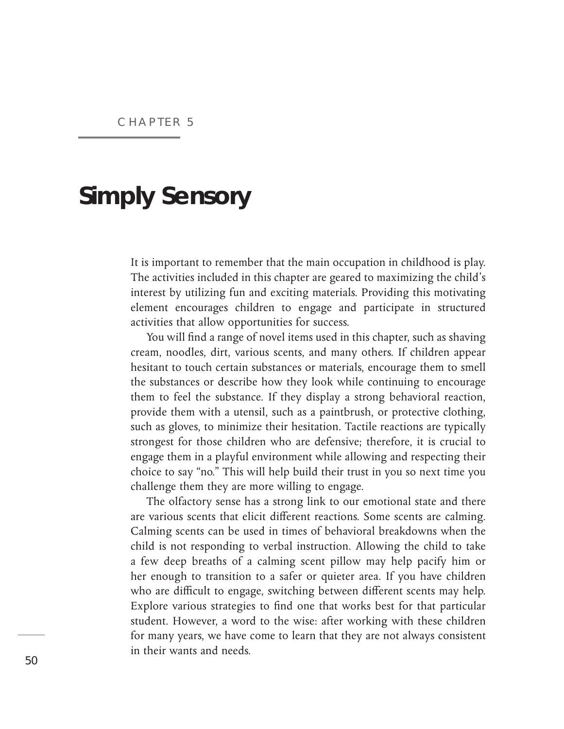# **Simply Sensory**

It is important to remember that the main occupation in childhood is play. The activities included in this chapter are geared to maximizing the child's interest by utilizing fun and exciting materials. Providing this motivating element encourages children to engage and participate in structured activities that allow opportunities for success.

You will find a range of novel items used in this chapter, such as shaving cream, noodles, dirt, various scents, and many others. If children appear hesitant to touch certain substances or materials, encourage them to smell the substances or describe how they look while continuing to encourage them to feel the substance. If they display a strong behavioral reaction, provide them with a utensil, such as a paintbrush, or protective clothing, such as gloves, to minimize their hesitation. Tactile reactions are typically strongest for those children who are defensive; therefore, it is crucial to engage them in a playful environment while allowing and respecting their choice to say "no." This will help build their trust in you so next time you challenge them they are more willing to engage.

The olfactory sense has a strong link to our emotional state and there are various scents that elicit different reactions. Some scents are calming. Calming scents can be used in times of behavioral breakdowns when the child is not responding to verbal instruction. Allowing the child to take a few deep breaths of a calming scent pillow may help pacify him or her enough to transition to a safer or quieter area. If you have children who are difficult to engage, switching between different scents may help. Explore various strategies to find one that works best for that particular student. However, a word to the wise: after working with these children for many years, we have come to learn that they are not always consistent in their wants and needs.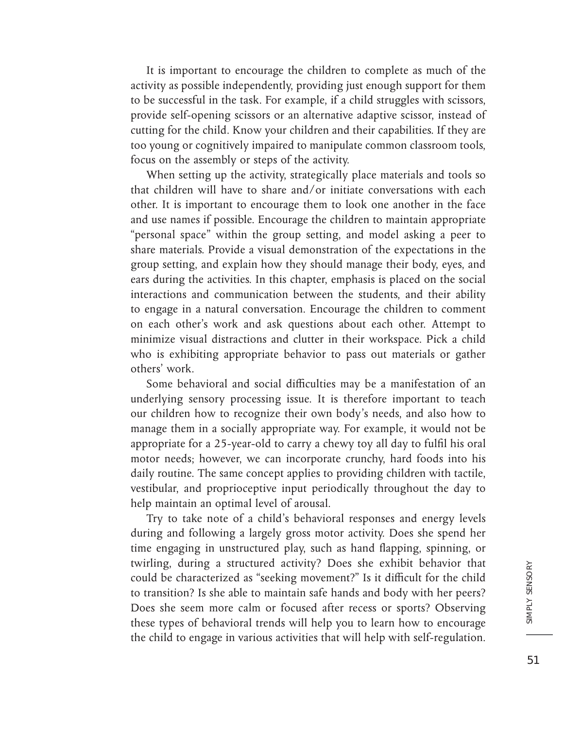It is important to encourage the children to complete as much of the activity as possible independently, providing just enough support for them to be successful in the task. For example, if a child struggles with scissors, provide self-opening scissors or an alternative adaptive scissor, instead of cutting for the child. Know your children and their capabilities. If they are too young or cognitively impaired to manipulate common classroom tools, focus on the assembly or steps of the activity.

When setting up the activity, strategically place materials and tools so that children will have to share and/or initiate conversations with each other. It is important to encourage them to look one another in the face and use names if possible. Encourage the children to maintain appropriate "personal space" within the group setting, and model asking a peer to share materials. Provide a visual demonstration of the expectations in the group setting, and explain how they should manage their body, eyes, and ears during the activities. In this chapter, emphasis is placed on the social interactions and communication between the students, and their ability to engage in a natural conversation. Encourage the children to comment on each other's work and ask questions about each other. Attempt to minimize visual distractions and clutter in their workspace. Pick a child who is exhibiting appropriate behavior to pass out materials or gather others' work.

Some behavioral and social difficulties may be a manifestation of an underlying sensory processing issue. It is therefore important to teach our children how to recognize their own body's needs, and also how to manage them in a socially appropriate way. For example, it would not be appropriate for a 25-year-old to carry a chewy toy all day to fulfil his oral motor needs; however, we can incorporate crunchy, hard foods into his daily routine. The same concept applies to providing children with tactile, vestibular, and proprioceptive input periodically throughout the day to help maintain an optimal level of arousal.

Try to take note of a child's behavioral responses and energy levels during and following a largely gross motor activity. Does she spend her time engaging in unstructured play, such as hand flapping, spinning, or twirling, during a structured activity? Does she exhibit behavior that could be characterized as "seeking movement?" Is it difficult for the child to transition? Is she able to maintain safe hands and body with her peers? Does she seem more calm or focused after recess or sports? Observing these types of behavioral trends will help you to learn how to encourage the child to engage in various activities that will help with self-regulation.

51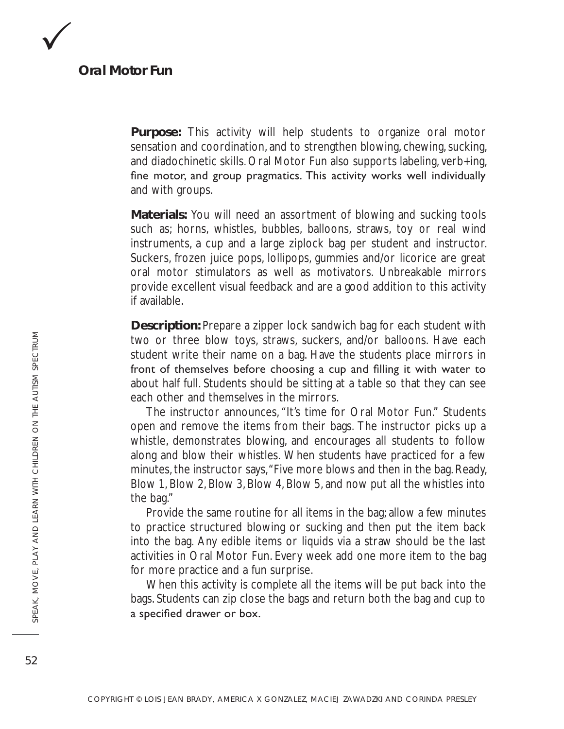## **Oral Motor Fun**

 $\checkmark$ 

**Purpose:** This activity will help students to organize oral motor sensation and coordination, and to strengthen blowing, chewing, sucking, and diadochinetic skills. Oral Motor Fun also supports labeling, verb+ing, fine motor, and group pragmatics. This activity works well individually and with groups.

**Materials:** You will need an assortment of blowing and sucking tools such as; horns, whistles, bubbles, balloons, straws, toy or real wind instruments, a cup and a large ziplock bag per student and instructor. Suckers, frozen juice pops, lollipops, gummies and/or licorice are great oral motor stimulators as well as motivators. Unbreakable mirrors provide excellent visual feedback and are a good addition to this activity if available.

**Description:** Prepare a zipper lock sandwich bag for each student with two or three blow toys, straws, suckers, and/or balloons. Have each student write their name on a bag. Have the students place mirrors in front of themselves before choosing a cup and filling it with water to about half full. Students should be sitting at a table so that they can see each other and themselves in the mirrors.

The instructor announces, "It's time for Oral Motor Fun." Students open and remove the items from their bags. The instructor picks up a whistle, demonstrates blowing, and encourages all students to follow along and blow their whistles. When students have practiced for a few minutes, the instructor says, "Five more blows and then in the bag. Ready, Blow 1, Blow 2, Blow 3, Blow 4, Blow 5, and now put all the whistles into the bag."

Provide the same routine for all items in the bag; allow a few minutes to practice structured blowing or sucking and then put the item back into the bag. Any edible items or liquids via a straw should be the last activities in Oral Motor Fun. Every week add one more item to the bag for more practice and a fun surprise.

When this activity is complete all the items will be put back into the bags. Students can zip close the bags and return both the bag and cup to a specified drawer or box.